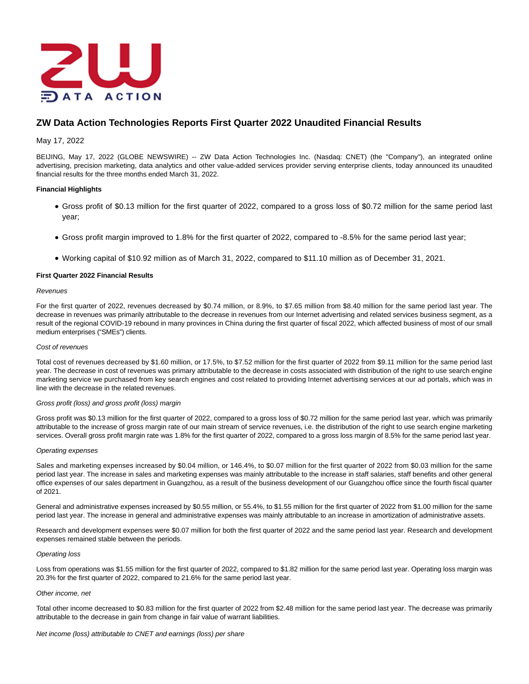

# **ZW Data Action Technologies Reports First Quarter 2022 Unaudited Financial Results**

## May 17, 2022

BEIJING, May 17, 2022 (GLOBE NEWSWIRE) -- ZW Data Action Technologies Inc. (Nasdaq: CNET) (the "Company"), an integrated online advertising, precision marketing, data analytics and other value-added services provider serving enterprise clients, today announced its unaudited financial results for the three months ended March 31, 2022.

## **Financial Highlights**

- Gross profit of \$0.13 million for the first quarter of 2022, compared to a gross loss of \$0.72 million for the same period last year;
- Gross profit margin improved to 1.8% for the first quarter of 2022, compared to -8.5% for the same period last year;
- Working capital of \$10.92 million as of March 31, 2022, compared to \$11.10 million as of December 31, 2021.

## **First Quarter 2022 Financial Results**

#### **Revenues**

For the first quarter of 2022, revenues decreased by \$0.74 million, or 8.9%, to \$7.65 million from \$8.40 million for the same period last year. The decrease in revenues was primarily attributable to the decrease in revenues from our Internet advertising and related services business segment, as a result of the regional COVID-19 rebound in many provinces in China during the first quarter of fiscal 2022, which affected business of most of our small medium enterprises ("SMEs") clients.

#### Cost of revenues

Total cost of revenues decreased by \$1.60 million, or 17.5%, to \$7.52 million for the first quarter of 2022 from \$9.11 million for the same period last year. The decrease in cost of revenues was primary attributable to the decrease in costs associated with distribution of the right to use search engine marketing service we purchased from key search engines and cost related to providing Internet advertising services at our ad portals, which was in line with the decrease in the related revenues.

#### Gross profit (loss) and gross profit (loss) margin

Gross profit was \$0.13 million for the first quarter of 2022, compared to a gross loss of \$0.72 million for the same period last year, which was primarily attributable to the increase of gross margin rate of our main stream of service revenues, i.e. the distribution of the right to use search engine marketing services. Overall gross profit margin rate was 1.8% for the first quarter of 2022, compared to a gross loss margin of 8.5% for the same period last year.

#### Operating expenses

Sales and marketing expenses increased by \$0.04 million, or 146.4%, to \$0.07 million for the first quarter of 2022 from \$0.03 million for the same period last year. The increase in sales and marketing expenses was mainly attributable to the increase in staff salaries, staff benefits and other general office expenses of our sales department in Guangzhou, as a result of the business development of our Guangzhou office since the fourth fiscal quarter of 2021.

General and administrative expenses increased by \$0.55 million, or 55.4%, to \$1.55 million for the first quarter of 2022 from \$1.00 million for the same period last year. The increase in general and administrative expenses was mainly attributable to an increase in amortization of administrative assets.

Research and development expenses were \$0.07 million for both the first quarter of 2022 and the same period last year. Research and development expenses remained stable between the periods.

#### Operating loss

Loss from operations was \$1.55 million for the first quarter of 2022, compared to \$1.82 million for the same period last year. Operating loss margin was 20.3% for the first quarter of 2022, compared to 21.6% for the same period last year.

#### Other income, net

Total other income decreased to \$0.83 million for the first quarter of 2022 from \$2.48 million for the same period last year. The decrease was primarily attributable to the decrease in gain from change in fair value of warrant liabilities.

Net income (loss) attributable to CNET and earnings (loss) per share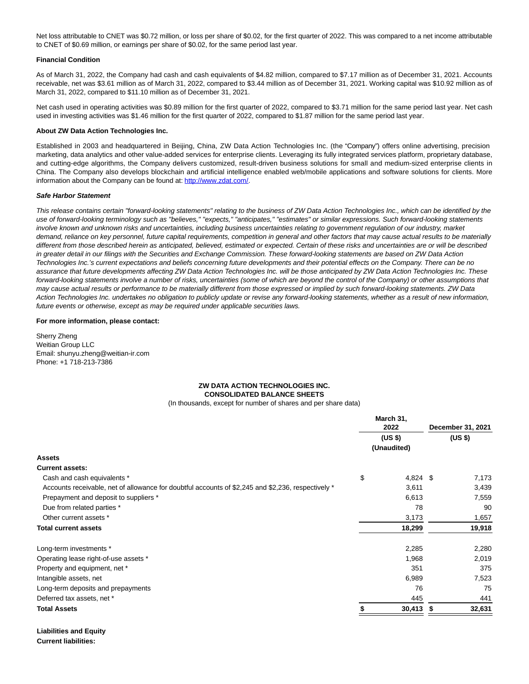Net loss attributable to CNET was \$0.72 million, or loss per share of \$0.02, for the first quarter of 2022. This was compared to a net income attributable to CNET of \$0.69 million, or earnings per share of \$0.02, for the same period last year.

### **Financial Condition**

As of March 31, 2022, the Company had cash and cash equivalents of \$4.82 million, compared to \$7.17 million as of December 31, 2021. Accounts receivable, net was \$3.61 million as of March 31, 2022, compared to \$3.44 million as of December 31, 2021. Working capital was \$10.92 million as of March 31, 2022, compared to \$11.10 million as of December 31, 2021.

Net cash used in operating activities was \$0.89 million for the first quarter of 2022, compared to \$3.71 million for the same period last year. Net cash used in investing activities was \$1.46 million for the first quarter of 2022, compared to \$1.87 million for the same period last year.

#### **About ZW Data Action Technologies Inc.**

Established in 2003 and headquartered in Beijing, China, ZW Data Action Technologies Inc. (the "Company") offers online advertising, precision marketing, data analytics and other value-added services for enterprise clients. Leveraging its fully integrated services platform, proprietary database, and cutting-edge algorithms, the Company delivers customized, result-driven business solutions for small and medium-sized enterprise clients in China. The Company also develops blockchain and artificial intelligence enabled web/mobile applications and software solutions for clients. More information about the Company can be found at: [http://www.zdat.com/.](https://www.globenewswire.com/Tracker?data=WWuU0Ow44xN7zGDCAATOTsR_WfUr6IElOsgidcFYQDtuyCNpfdxd19nIOEDGULtfaAWzOqfOKBfxswvjyBK1LA==)

#### **Safe Harbor Statement**

This release contains certain "forward-looking statements" relating to the business of ZW Data Action Technologies Inc., which can be identified by the use of forward-looking terminology such as "believes," "expects," "anticipates," "estimates" or similar expressions. Such forward-looking statements involve known and unknown risks and uncertainties, including business uncertainties relating to government regulation of our industry, market demand, reliance on key personnel, future capital requirements, competition in general and other factors that may cause actual results to be materially different from those described herein as anticipated, believed, estimated or expected. Certain of these risks and uncertainties are or will be described in greater detail in our filings with the Securities and Exchange Commission. These forward-looking statements are based on ZW Data Action Technologies Inc.'s current expectations and beliefs concerning future developments and their potential effects on the Company. There can be no assurance that future developments affecting ZW Data Action Technologies Inc. will be those anticipated by ZW Data Action Technologies Inc. These forward-looking statements involve a number of risks, uncertainties (some of which are beyond the control of the Company) or other assumptions that may cause actual results or performance to be materially different from those expressed or implied by such forward-looking statements. ZW Data Action Technologies Inc. undertakes no obligation to publicly update or revise any forward-looking statements, whether as a result of new information, future events or otherwise, except as may be required under applicable securities laws.

#### **For more information, please contact:**

Sherry Zheng Weitian Group LLC Email: shunyu.zheng@weitian-ir.com Phone: +1 718-213-7386

## **ZW DATA ACTION TECHNOLOGIES INC. CONSOLIDATED BALANCE SHEETS**

(In thousands, except for number of shares and per share data)

|                                                                                                    | March 31,<br>2022<br>(US \$) |             | December 31, 2021<br>(US \$) |        |
|----------------------------------------------------------------------------------------------------|------------------------------|-------------|------------------------------|--------|
|                                                                                                    |                              |             |                              |        |
|                                                                                                    |                              | (Unaudited) |                              |        |
| <b>Assets</b>                                                                                      |                              |             |                              |        |
| <b>Current assets:</b>                                                                             |                              |             |                              |        |
| Cash and cash equivalents *                                                                        | \$                           | 4,824 \$    |                              | 7,173  |
| Accounts receivable, net of allowance for doubtful accounts of \$2,245 and \$2,236, respectively * |                              | 3,611       |                              | 3,439  |
| Prepayment and deposit to suppliers *                                                              |                              | 6,613       |                              | 7,559  |
| Due from related parties *                                                                         |                              | 78          |                              | 90     |
| Other current assets *                                                                             |                              | 3,173       |                              | 1,657  |
| <b>Total current assets</b>                                                                        |                              | 18,299      |                              | 19,918 |
| Long-term investments *                                                                            |                              | 2,285       |                              | 2,280  |
| Operating lease right-of-use assets *                                                              |                              | 1,968       |                              | 2,019  |
| Property and equipment, net *                                                                      |                              | 351         |                              | 375    |
| Intangible assets, net                                                                             |                              | 6,989       |                              | 7,523  |
| Long-term deposits and prepayments                                                                 |                              | 76          |                              | 75     |
| Deferred tax assets, net *                                                                         |                              | 445         |                              | 441    |
| <b>Total Assets</b>                                                                                |                              | 30,413      | S                            | 32,631 |

**Liabilities and Equity Current liabilities:**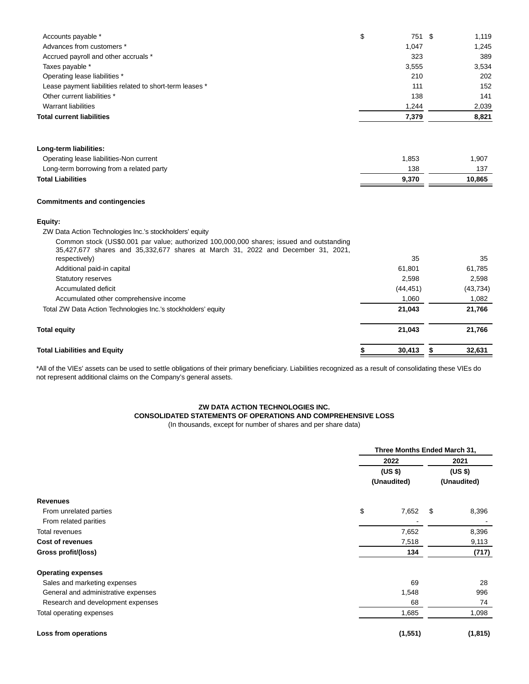| <b>Total Liabilities and Equity</b>                                                                                                                                                           | \$<br>30,413 | \$<br>32,631 |
|-----------------------------------------------------------------------------------------------------------------------------------------------------------------------------------------------|--------------|--------------|
| <b>Total equity</b>                                                                                                                                                                           | 21,043       | 21,766       |
| Total ZW Data Action Technologies Inc.'s stockholders' equity                                                                                                                                 | 21,043       | 21,766       |
| Accumulated other comprehensive income                                                                                                                                                        | 1,060        | 1,082        |
| Accumulated deficit                                                                                                                                                                           | (44, 451)    | (43, 734)    |
| <b>Statutory reserves</b>                                                                                                                                                                     | 2,598        | 2,598        |
| Additional paid-in capital                                                                                                                                                                    | 61,801       | 61,785       |
| Common stock (US\$0.001 par value; authorized 100,000,000 shares; issued and outstanding<br>35,427,677 shares and 35,332,677 shares at March 31, 2022 and December 31, 2021,<br>respectively) | 35           | 35           |
| Equity:<br>ZW Data Action Technologies Inc.'s stockholders' equity                                                                                                                            |              |              |
| <b>Commitments and contingencies</b>                                                                                                                                                          |              |              |
| <b>Total Liabilities</b>                                                                                                                                                                      | 9,370        | 10,865       |
| Long-term borrowing from a related party                                                                                                                                                      | 138          | 137          |
| Long-term liabilities:<br>Operating lease liabilities-Non current                                                                                                                             | 1,853        | 1,907        |
|                                                                                                                                                                                               |              |              |
| <b>Total current liabilities</b>                                                                                                                                                              | 7,379        | 8,821        |
| <b>Warrant liabilities</b>                                                                                                                                                                    | 1,244        | 2,039        |
| Other current liabilities *                                                                                                                                                                   | 138          | 141          |
| Lease payment liabilities related to short-term leases *                                                                                                                                      | 111          | 152          |
| Operating lease liabilities *                                                                                                                                                                 | 210          | 202          |
| Taxes payable *                                                                                                                                                                               | 3,555        | 3,534        |
| Accrued payroll and other accruals *                                                                                                                                                          | 323          | 389          |
| Advances from customers *                                                                                                                                                                     | 1,047        | 1,245        |
| Accounts payable *                                                                                                                                                                            | \$<br>751 \$ | 1,119        |

\*All of the VIEs' assets can be used to settle obligations of their primary beneficiary. Liabilities recognized as a result of consolidating these VIEs do not represent additional claims on the Company's general assets.

## **ZW DATA ACTION TECHNOLOGIES INC.**

# **CONSOLIDATED STATEMENTS OF OPERATIONS AND COMPREHENSIVE LOSS**

(In thousands, except for number of shares and per share data)

|                                     |    | Three Months Ended March 31,   |   |                                |  |
|-------------------------------------|----|--------------------------------|---|--------------------------------|--|
|                                     |    | 2022<br>(US \$)<br>(Unaudited) |   | 2021<br>(US \$)<br>(Unaudited) |  |
|                                     |    |                                |   |                                |  |
|                                     |    |                                |   |                                |  |
| <b>Revenues</b>                     |    |                                |   |                                |  |
| From unrelated parties              | \$ | 7,652                          | S | 8,396                          |  |
| From related parities               |    |                                |   |                                |  |
| Total revenues                      |    | 7,652                          |   | 8,396                          |  |
| <b>Cost of revenues</b>             |    | 7,518                          |   | 9,113                          |  |
| Gross profit/(loss)                 |    | 134                            |   | (717)                          |  |
| <b>Operating expenses</b>           |    |                                |   |                                |  |
| Sales and marketing expenses        |    | 69                             |   | 28                             |  |
| General and administrative expenses |    | 1,548                          |   | 996                            |  |
| Research and development expenses   |    | 68                             |   | 74                             |  |
| Total operating expenses            |    | 1,685                          |   | 1,098                          |  |
| Loss from operations                |    | (1, 551)                       |   | (1, 815)                       |  |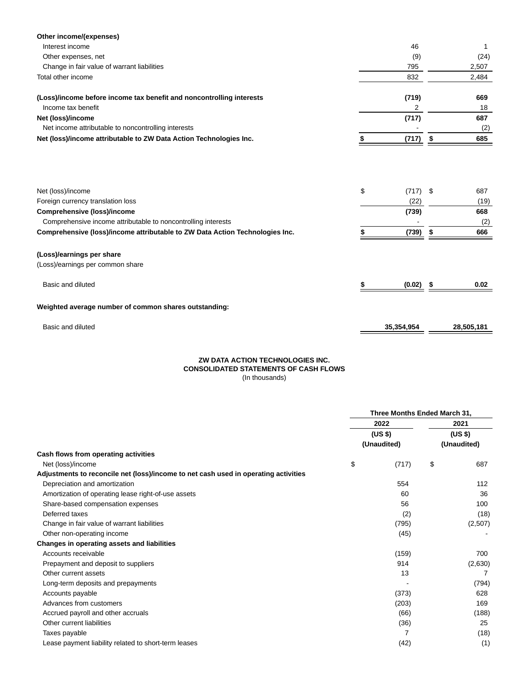| Other income/(expenses)                                                                                                                                       |                                   |    |                           |
|---------------------------------------------------------------------------------------------------------------------------------------------------------------|-----------------------------------|----|---------------------------|
| Interest income                                                                                                                                               | 46                                |    | 1                         |
| Other expenses, net                                                                                                                                           | (9)                               |    | (24)                      |
| Change in fair value of warrant liabilities                                                                                                                   | 795                               |    | 2,507                     |
| Total other income                                                                                                                                            | 832                               |    | 2,484                     |
| (Loss)/income before income tax benefit and noncontrolling interests                                                                                          | (719)                             |    | 669                       |
| Income tax benefit                                                                                                                                            | 2                                 |    | 18                        |
| Net (loss)/income                                                                                                                                             | (717)                             |    | 687                       |
| Net income attributable to noncontrolling interests                                                                                                           |                                   |    | (2)                       |
| Net (loss)/income attributable to ZW Data Action Technologies Inc.                                                                                            | (717)                             | \$ | 685                       |
| Net (loss)/income<br>Foreign currency translation loss<br><b>Comprehensive (loss)/income</b><br>Comprehensive income attributable to noncontrolling interests | \$<br>$(717)$ \$<br>(22)<br>(739) |    | 687<br>(19)<br>668<br>(2) |
| Comprehensive (loss)/income attributable to ZW Data Action Technologies Inc.                                                                                  | (739)                             | S  | 666                       |
| (Loss)/earnings per share<br>(Loss)/earnings per common share                                                                                                 |                                   |    |                           |
| Basic and diluted                                                                                                                                             | (0.02)                            |    | 0.02                      |
| Weighted average number of common shares outstanding:                                                                                                         |                                   |    |                           |

| Basic and diluted | 35.354.954 | 28.505.181 |
|-------------------|------------|------------|
|                   |            |            |

### **ZW DATA ACTION TECHNOLOGIES INC. CONSOLIDATED STATEMENTS OF CASH FLOWS** (In thousands)

| (11.4104041140) |  |  |  |
|-----------------|--|--|--|
|                 |  |  |  |
|                 |  |  |  |
|                 |  |  |  |
|                 |  |  |  |
|                 |  |  |  |

|                                                                                     | Three Months Ended March 31, |                        |    |                        |    |
|-------------------------------------------------------------------------------------|------------------------------|------------------------|----|------------------------|----|
|                                                                                     |                              | 2022                   |    | 2021                   |    |
| Cash flows from operating activities                                                |                              | (US \$)<br>(Unaudited) |    | (US \$)<br>(Unaudited) |    |
|                                                                                     |                              |                        |    |                        |    |
|                                                                                     |                              | Net (loss)/income      | \$ | (717)                  | \$ |
| Adjustments to reconcile net (loss)/income to net cash used in operating activities |                              |                        |    |                        |    |
| Depreciation and amortization                                                       |                              | 554                    |    | 112                    |    |
| Amortization of operating lease right-of-use assets                                 |                              | 60                     |    | 36                     |    |
| Share-based compensation expenses                                                   |                              | 56                     |    | 100                    |    |
| Deferred taxes                                                                      |                              | (2)                    |    | (18)                   |    |
| Change in fair value of warrant liabilities                                         |                              | (795)                  |    | (2,507)                |    |
| Other non-operating income                                                          |                              | (45)                   |    |                        |    |
| Changes in operating assets and liabilities                                         |                              |                        |    |                        |    |
| Accounts receivable                                                                 |                              | (159)                  |    | 700                    |    |
| Prepayment and deposit to suppliers                                                 |                              | 914                    |    | (2,630)                |    |
| Other current assets                                                                |                              | 13                     |    |                        |    |
| Long-term deposits and prepayments                                                  |                              |                        |    | (794)                  |    |
| Accounts payable                                                                    |                              | (373)                  |    | 628                    |    |
| Advances from customers                                                             |                              | (203)                  |    | 169                    |    |
| Accrued payroll and other accruals                                                  |                              | (66)                   |    | (188)                  |    |
| Other current liabilities                                                           |                              | (36)                   |    | 25                     |    |
| Taxes payable                                                                       |                              | 7                      |    | (18)                   |    |
| Lease payment liability related to short-term leases                                |                              | (42)                   |    | (1)                    |    |